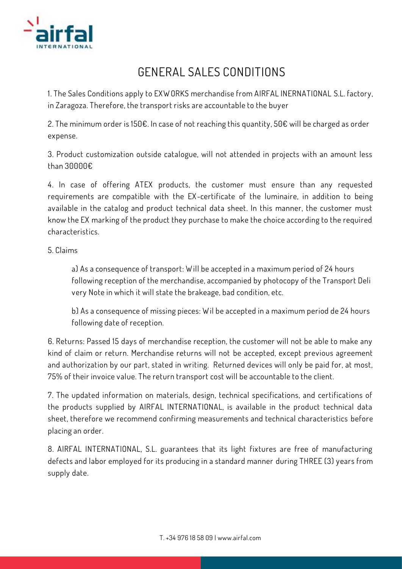

## **GENERAL SALES CONDITIONS**

**1. The Sales Conditions apply to EX W ORKS merchandise from AIRFAL INERNATIONAL S.L. factory, in Zaragoza. Therefore, the transport risks are accountable to the buyer**

**2. The minimum order is 150€. In case of not reaching this quantity, 50€ will be charged as order expense.**

**3. Product customization outside catalogue, will not attended in projects with an amount less than 30000€** 

**4. In case of offering ATEX products, the customer must ensure than any requested requirements are compatible with the EX-certificate of the luminaire, in addition to being available in the catalog and product technical data sheet. In this manner, the customer must know the EX marking of the product they purchase to make the choice according to the required characteristics.**

## **5. Claims**

**a) As a consequence of transport: W ill be accepted in a maximum period of 24 hours following reception of the merchandise, accompanied by photocopy of the Transport Deli very Note in which it will state the brakeage, bad condition, etc.**

**b) As a consequence of missing pieces: W il be accepted in a maximum period de 24 hours following date of reception.**

**6. Returns: Passed 15 days of merchandise reception, the customer will not be able to make any kind of claim or return. Merchandise returns will not be accepted, except previous agreement and authorization by our part, stated in writing. Returned devices will only be paid for, at most, 75% of their invoice value. The return transport cost will be accountable to the client.**

**7. The updated information on materials, design, technical specifications, and certifications of the products supplied by AIRFAL INTERNATIONAL, is available in the product technical data sheet, therefore we recommend confirming measurements and technical characteristics before placing an order.**

**8. AIRFAL INTERNATIONAL, S.L. guarantees that its light fixtures are free of manufacturing defects and labor employed for its producing in a standard manner during THREE (3) years from supply date.**